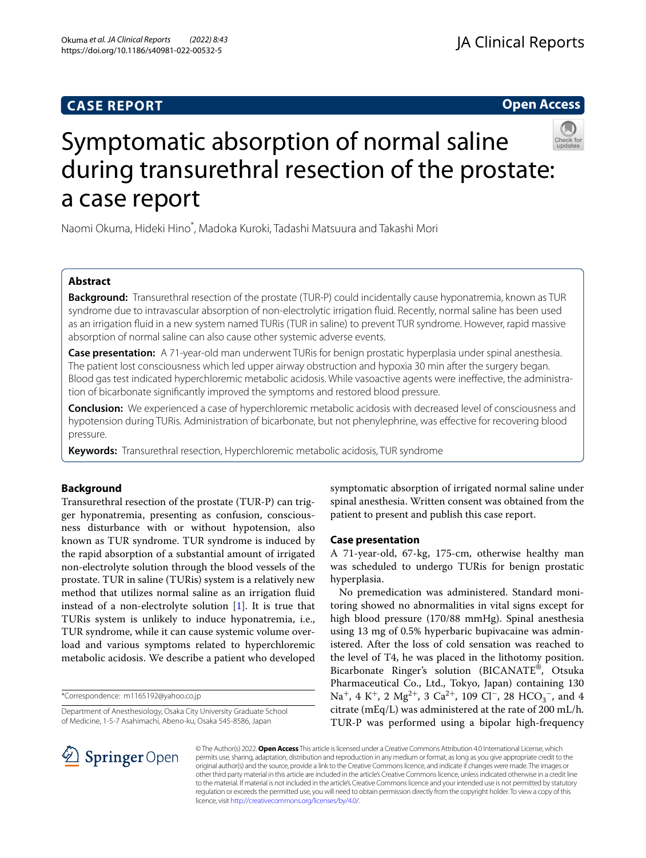# **CASE REPORT**

**Open Access**



# Symptomatic absorption of normal saline during transurethral resection of the prostate: a case report

Naomi Okuma, Hideki Hino\* , Madoka Kuroki, Tadashi Matsuura and Takashi Mori

# **Abstract**

**Background:** Transurethral resection of the prostate (TUR-P) could incidentally cause hyponatremia, known as TUR syndrome due to intravascular absorption of non-electrolytic irrigation fuid. Recently, normal saline has been used as an irrigation fuid in a new system named TURis (TUR in saline) to prevent TUR syndrome. However, rapid massive absorption of normal saline can also cause other systemic adverse events.

**Case presentation:** A 71-year-old man underwent TURis for benign prostatic hyperplasia under spinal anesthesia. The patient lost consciousness which led upper airway obstruction and hypoxia 30 min after the surgery began. Blood gas test indicated hyperchloremic metabolic acidosis. While vasoactive agents were inefective, the administration of bicarbonate signifcantly improved the symptoms and restored blood pressure.

**Conclusion:** We experienced a case of hyperchloremic metabolic acidosis with decreased level of consciousness and hypotension during TURis. Administration of bicarbonate, but not phenylephrine, was efective for recovering blood pressure.

**Keywords:** Transurethral resection, Hyperchloremic metabolic acidosis, TUR syndrome

# **Background**

Transurethral resection of the prostate (TUR-P) can trigger hyponatremia, presenting as confusion, consciousness disturbance with or without hypotension, also known as TUR syndrome. TUR syndrome is induced by the rapid absorption of a substantial amount of irrigated non-electrolyte solution through the blood vessels of the prostate. TUR in saline (TURis) system is a relatively new method that utilizes normal saline as an irrigation fuid instead of a non-electrolyte solution [\[1\]](#page-3-0). It is true that TURis system is unlikely to induce hyponatremia, i.e., TUR syndrome, while it can cause systemic volume overload and various symptoms related to hyperchloremic metabolic acidosis. We describe a patient who developed

\*Correspondence: m1165192@yahoo.co.jp

Department of Anesthesiology, Osaka City University Graduate School of Medicine, 1-5-7 Asahimachi, Abeno-ku, Osaka 545-8586, Japan

symptomatic absorption of irrigated normal saline under spinal anesthesia. Written consent was obtained from the patient to present and publish this case report.

## **Case presentation**

A 71-year-old, 67-kg, 175-cm, otherwise healthy man was scheduled to undergo TURis for benign prostatic hyperplasia.

No premedication was administered. Standard monitoring showed no abnormalities in vital signs except for high blood pressure (170/88 mmHg). Spinal anesthesia using 13 mg of 0.5% hyperbaric bupivacaine was administered. After the loss of cold sensation was reached to the level of T4, he was placed in the lithotomy position. Bicarbonate Ringer's solution (BICANATE®, Otsuka Pharmaceutical Co., Ltd., Tokyo, Japan) containing 130 Na<sup>+</sup>, 4 K<sup>+</sup>, 2 Mg<sup>2+</sup>, 3 Ca<sup>2+</sup>, 109 Cl<sup>-</sup>, 28 HCO<sub>3</sub><sup>-</sup>, and 4 citrate (mEq/L) was administered at the rate of 200 mL/h. TUR-P was performed using a bipolar high-frequency



© The Author(s) 2022. **Open Access** This article is licensed under a Creative Commons Attribution 4.0 International License, which permits use, sharing, adaptation, distribution and reproduction in any medium or format, as long as you give appropriate credit to the original author(s) and the source, provide a link to the Creative Commons licence, and indicate if changes were made. The images or other third party material in this article are included in the article's Creative Commons licence, unless indicated otherwise in a credit line to the material. If material is not included in the article's Creative Commons licence and your intended use is not permitted by statutory regulation or exceeds the permitted use, you will need to obtain permission directly from the copyright holder. To view a copy of this licence, visit [http://creativecommons.org/licenses/by/4.0/.](http://creativecommons.org/licenses/by/4.0/)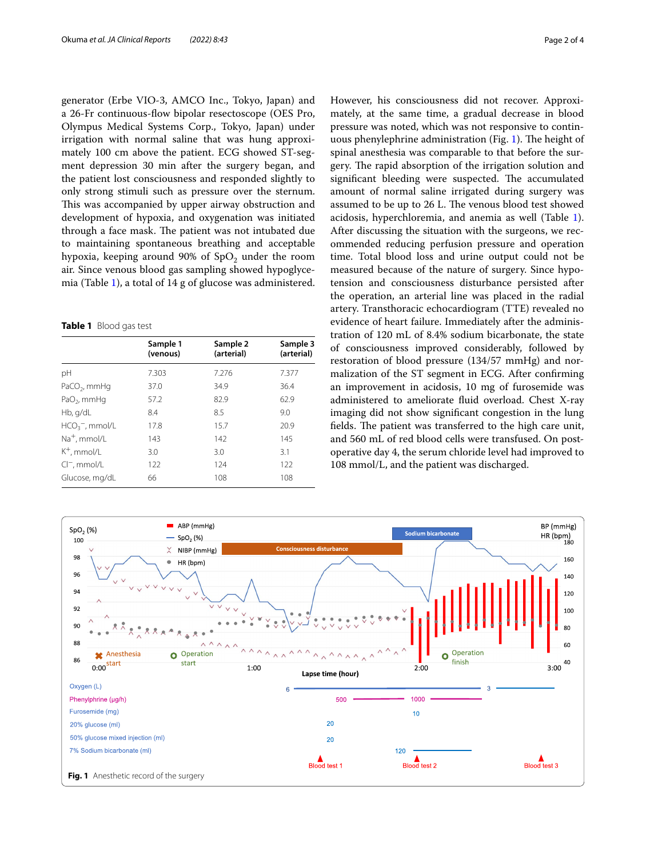generator (Erbe VIO-3, AMCO Inc., Tokyo, Japan) and a 26-Fr continuous-fow bipolar resectoscope (OES Pro, Olympus Medical Systems Corp., Tokyo, Japan) under irrigation with normal saline that was hung approximately 100 cm above the patient. ECG showed ST-segment depression 30 min after the surgery began, and the patient lost consciousness and responded slightly to only strong stimuli such as pressure over the sternum. This was accompanied by upper airway obstruction and development of hypoxia, and oxygenation was initiated through a face mask. The patient was not intubated due to maintaining spontaneous breathing and acceptable hypoxia, keeping around 90% of  $SpO<sub>2</sub>$  under the room air. Since venous blood gas sampling showed hypoglycemia (Table [1](#page-1-0)), a total of 14 g of glucose was administered.

<span id="page-1-0"></span>**Table 1** Blood gas test

|                          | Sample 1<br>(venous) | Sample 2<br>(arterial) | Sample 3<br>(arterial) |
|--------------------------|----------------------|------------------------|------------------------|
| рH                       | 7.303                | 7.276                  | 7.377                  |
| $PaCO2$ , mmHg           | 37.0                 | 34.9                   | 36.4                   |
| $PaO2$ , mmHq            | 57.2                 | 82.9                   | 62.9                   |
| Hb, g/dL                 | 8.4                  | 8.5                    | 9.0                    |
| $HCO3$ , mmol/L          | 17.8                 | 15.7                   | 20.9                   |
| Na <sup>+</sup> , mmol/L | 143                  | 142                    | 145                    |
| $K^+$ , mmol/L           | 3.0                  | 3.0                    | 3.1                    |
| $Cl^-$ , mmol/L          | 122                  | 124                    | 122                    |
| Glucose, mg/dL           | 66                   | 108                    | 108                    |

However, his consciousness did not recover. Approximately, at the same time, a gradual decrease in blood pressure was noted, which was not responsive to contin-uous phenylephrine administration (Fig. [1\)](#page-1-1). The height of spinal anesthesia was comparable to that before the surgery. The rapid absorption of the irrigation solution and significant bleeding were suspected. The accumulated amount of normal saline irrigated during surgery was assumed to be up to 26 L. The venous blood test showed acidosis, hyperchloremia, and anemia as well (Table [1](#page-1-0)). After discussing the situation with the surgeons, we recommended reducing perfusion pressure and operation time. Total blood loss and urine output could not be measured because of the nature of surgery. Since hypotension and consciousness disturbance persisted after the operation, an arterial line was placed in the radial artery. Transthoracic echocardiogram (TTE) revealed no evidence of heart failure. Immediately after the administration of 120 mL of 8.4% sodium bicarbonate, the state of consciousness improved considerably, followed by restoration of blood pressure (134/57 mmHg) and normalization of the ST segment in ECG. After confrming an improvement in acidosis, 10 mg of furosemide was administered to ameliorate fuid overload. Chest X-ray imaging did not show signifcant congestion in the lung fields. The patient was transferred to the high care unit, and 560 mL of red blood cells were transfused. On postoperative day 4, the serum chloride level had improved to 108 mmol/L, and the patient was discharged.

<span id="page-1-1"></span>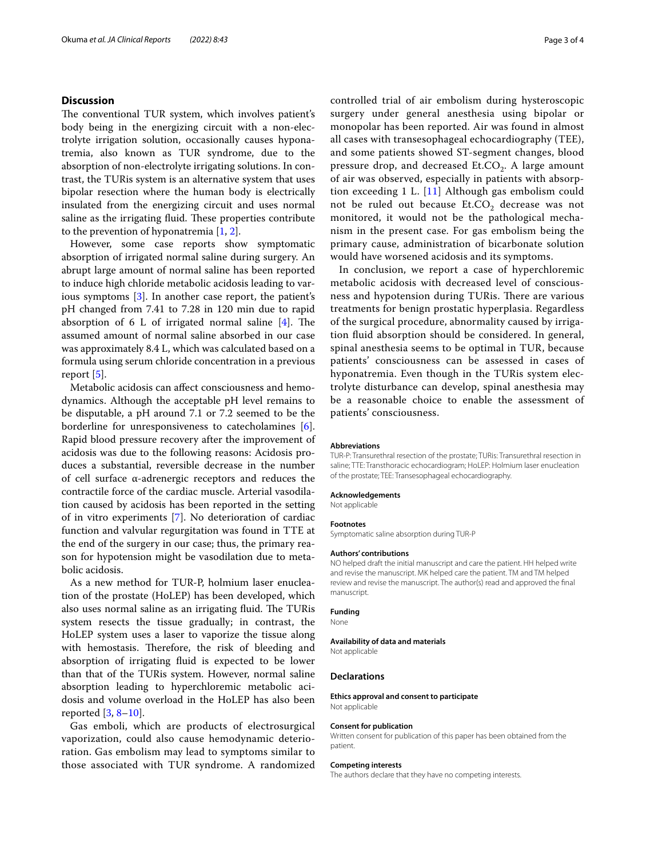## **Discussion**

The conventional TUR system, which involves patient's body being in the energizing circuit with a non-electrolyte irrigation solution, occasionally causes hyponatremia, also known as TUR syndrome, due to the absorption of non-electrolyte irrigating solutions. In contrast, the TURis system is an alternative system that uses bipolar resection where the human body is electrically insulated from the energizing circuit and uses normal saline as the irrigating fluid. These properties contribute to the prevention of hyponatremia [\[1](#page-3-0), [2\]](#page-3-1).

However, some case reports show symptomatic absorption of irrigated normal saline during surgery. An abrupt large amount of normal saline has been reported to induce high chloride metabolic acidosis leading to various symptoms [\[3\]](#page-3-2). In another case report, the patient's pH changed from 7.41 to 7.28 in 120 min due to rapid absorption of 6 L of irrigated normal saline  $[4]$  $[4]$ . The assumed amount of normal saline absorbed in our case was approximately 8.4 L, which was calculated based on a formula using serum chloride concentration in a previous report [\[5\]](#page-3-4).

Metabolic acidosis can afect consciousness and hemodynamics. Although the acceptable pH level remains to be disputable, a pH around 7.1 or 7.2 seemed to be the borderline for unresponsiveness to catecholamines [\[6](#page-3-5)]. Rapid blood pressure recovery after the improvement of acidosis was due to the following reasons: Acidosis produces a substantial, reversible decrease in the number of cell surface α-adrenergic receptors and reduces the contractile force of the cardiac muscle. Arterial vasodilation caused by acidosis has been reported in the setting of in vitro experiments [\[7](#page-3-6)]. No deterioration of cardiac function and valvular regurgitation was found in TTE at the end of the surgery in our case; thus, the primary reason for hypotension might be vasodilation due to metabolic acidosis.

As a new method for TUR-P, holmium laser enucleation of the prostate (HoLEP) has been developed, which also uses normal saline as an irrigating fluid. The TURis system resects the tissue gradually; in contrast, the HoLEP system uses a laser to vaporize the tissue along with hemostasis. Therefore, the risk of bleeding and absorption of irrigating fuid is expected to be lower than that of the TURis system. However, normal saline absorption leading to hyperchloremic metabolic acidosis and volume overload in the HoLEP has also been reported [[3,](#page-3-2) [8](#page-3-7)[–10](#page-3-8)].

Gas emboli, which are products of electrosurgical vaporization, could also cause hemodynamic deterioration. Gas embolism may lead to symptoms similar to those associated with TUR syndrome. A randomized controlled trial of air embolism during hysteroscopic surgery under general anesthesia using bipolar or monopolar has been reported. Air was found in almost all cases with transesophageal echocardiography (TEE), and some patients showed ST-segment changes, blood pressure drop, and decreased Et.CO<sub>2</sub>. A large amount of air was observed, especially in patients with absorption exceeding 1 L. [[11\]](#page-3-9) Although gas embolism could not be ruled out because  $Et. CO<sub>2</sub>$  decrease was not monitored, it would not be the pathological mechanism in the present case. For gas embolism being the primary cause, administration of bicarbonate solution would have worsened acidosis and its symptoms.

In conclusion, we report a case of hyperchloremic metabolic acidosis with decreased level of consciousness and hypotension during TURis. There are various treatments for benign prostatic hyperplasia. Regardless of the surgical procedure, abnormality caused by irrigation fuid absorption should be considered. In general, spinal anesthesia seems to be optimal in TUR, because patients' consciousness can be assessed in cases of hyponatremia. Even though in the TURis system electrolyte disturbance can develop, spinal anesthesia may be a reasonable choice to enable the assessment of patients' consciousness.

#### **Abbreviations**

TUR-P: Transurethral resection of the prostate; TURis: Transurethral resection in saline; TTE: Transthoracic echocardiogram; HoLEP: Holmium laser enucleation of the prostate; TEE: Transesophageal echocardiography.

#### **Acknowledgements**

Not applicable

#### **Footnotes**

Symptomatic saline absorption during TUR-P

#### **Authors' contributions**

NO helped draft the initial manuscript and care the patient. HH helped write and revise the manuscript. MK helped care the patient. TM and TM helped review and revise the manuscript. The author(s) read and approved the fnal manuscript.

## **Funding**

None

## **Availability of data and materials**

Not applicable

### **Declarations**

#### **Ethics approval and consent to participate** Not applicable

#### **Consent for publication**

Written consent for publication of this paper has been obtained from the patient.

#### **Competing interests**

The authors declare that they have no competing interests.